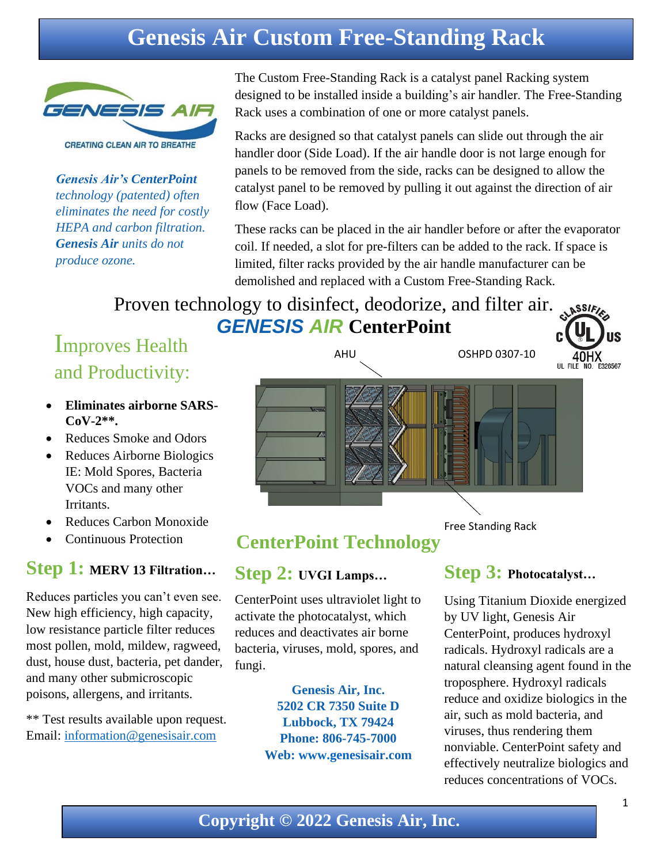# **Genesis Air Custom Free-Standing Rack**



*Genesis Air's CenterPoint technology (patented) often eliminates the need for costly HEPA and carbon filtration. Genesis Air units do not produce ozone.*

The Custom Free-Standing Rack is a catalyst panel Racking system designed to be installed inside a building's air handler. The Free-Standing Rack uses a combination of one or more catalyst panels.

Racks are designed so that catalyst panels can slide out through the air handler door (Side Load). If the air handle door is not large enough for panels to be removed from the side, racks can be designed to allow the catalyst panel to be removed by pulling it out against the direction of air flow (Face Load).

These racks can be placed in the air handler before or after the evaporator coil. If needed, a slot for pre-filters can be added to the rack. If space is limited, filter racks provided by the air handle manufacturer can be demolished and replaced with a Custom Free-Standing Rack.

Proven technology to disinfect, deodorize, and filter air. *GENESIS AIR* **CenterPoint**

## Improves Health and Productivity:

- **Eliminates airborne SARS-CoV-2\*\*.**
- Reduces Smoke and Odors
- Reduces Airborne Biologics IE: Mold Spores, Bacteria VOCs and many other Irritants.
- Reduces Carbon Monoxide
- Continuous Protection

### **Step 1: MERV 13 Filtration…**

Reduces particles you can't even see. New high efficiency, high capacity, low resistance particle filter reduces most pollen, mold, mildew, ragweed, dust, house dust, bacteria, pet dander, and many other submicroscopic poisons, allergens, and irritants.

\*\* Test results available upon request. Email: [information@genesisair.com](mailto:information@genesisair.com)



### **CenterPoint Technology**

### **Step 2: UVGI Lamps…**

CenterPoint uses ultraviolet light to activate the photocatalyst, which reduces and deactivates air borne bacteria, viruses, mold, spores, and fungi.

> **Genesis Air, Inc. 5202 CR 7350 Suite D Lubbock, TX 79424 Phone: 806-745-7000 Web: [www.genesisa](http://www.genesis/)ir.com**

### **Step 3: Photocatalyst…**

Free Standing Rack

Using Titanium Dioxide energized by UV light, Genesis Air CenterPoint, produces hydroxyl radicals. Hydroxyl radicals are a natural cleansing agent found in the troposphere. Hydroxyl radicals reduce and oxidize biologics in the air, such as mold bacteria, and viruses, thus rendering them nonviable. CenterPoint safety and effectively neutralize biologics and reduces concentrations of VOCs.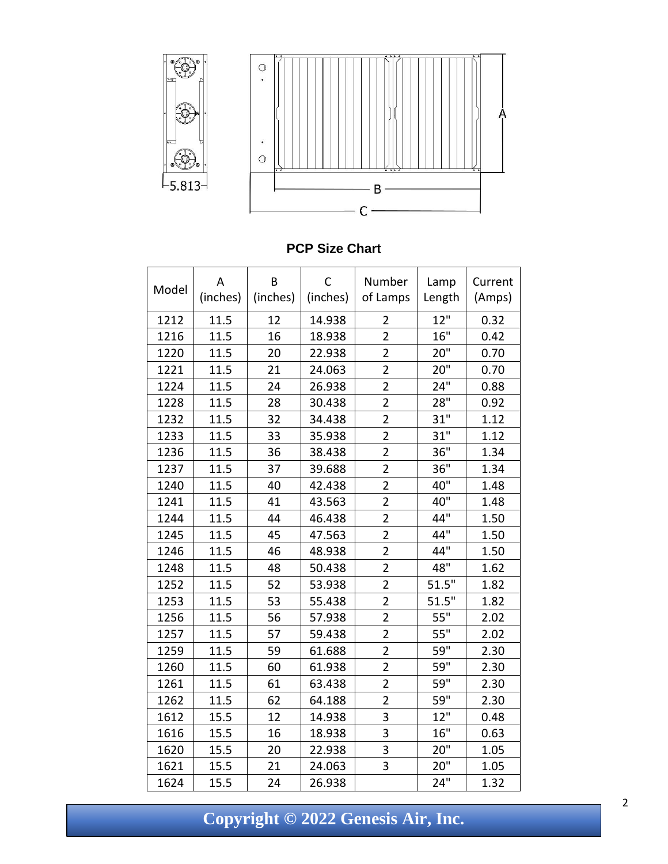

#### **PCP Size Chart**

| Model | Α        | B        | C        | Number         | Lamp   | Current |
|-------|----------|----------|----------|----------------|--------|---------|
|       | (inches) | (inches) | (inches) | of Lamps       | Length | (Amps)  |
| 1212  | 11.5     | 12       | 14.938   | $\overline{2}$ | 12"    | 0.32    |
| 1216  | 11.5     | 16       | 18.938   | $\overline{2}$ | 16"    | 0.42    |
| 1220  | 11.5     | 20       | 22.938   | $\overline{2}$ | 20"    | 0.70    |
| 1221  | 11.5     | 21       | 24.063   | $\overline{2}$ | 20"    | 0.70    |
| 1224  | 11.5     | 24       | 26.938   | $\overline{2}$ | 24"    | 0.88    |
| 1228  | 11.5     | 28       | 30.438   | $\overline{2}$ | 28"    | 0.92    |
| 1232  | 11.5     | 32       | 34.438   | $\overline{2}$ | 31"    | 1.12    |
| 1233  | 11.5     | 33       | 35.938   | $\overline{2}$ | 31"    | 1.12    |
| 1236  | 11.5     | 36       | 38.438   | $\overline{2}$ | 36"    | 1.34    |
| 1237  | 11.5     | 37       | 39.688   | $\overline{2}$ | 36"    | 1.34    |
| 1240  | 11.5     | 40       | 42.438   | $\overline{2}$ | 40"    | 1.48    |
| 1241  | 11.5     | 41       | 43.563   | $\overline{2}$ | 40"    | 1.48    |
| 1244  | 11.5     | 44       | 46.438   | $\overline{2}$ | 44"    | 1.50    |
| 1245  | 11.5     | 45       | 47.563   | $\overline{2}$ | 44"    | 1.50    |
| 1246  | 11.5     | 46       | 48.938   | $\overline{2}$ | 44"    | 1.50    |
| 1248  | 11.5     | 48       | 50.438   | $\overline{2}$ | 48"    | 1.62    |
| 1252  | 11.5     | 52       | 53.938   | $\overline{2}$ | 51.5"  | 1.82    |
| 1253  | 11.5     | 53       | 55.438   | $\overline{2}$ | 51.5"  | 1.82    |
| 1256  | 11.5     | 56       | 57.938   | $\overline{2}$ | 55"    | 2.02    |
| 1257  | 11.5     | 57       | 59.438   | $\overline{2}$ | 55"    | 2.02    |
| 1259  | 11.5     | 59       | 61.688   | $\overline{2}$ | 59"    | 2.30    |
| 1260  | 11.5     | 60       | 61.938   | $\overline{2}$ | 59"    | 2.30    |
| 1261  | 11.5     | 61       | 63.438   | $\overline{2}$ | 59"    | 2.30    |
| 1262  | 11.5     | 62       | 64.188   | $\overline{2}$ | 59"    | 2.30    |
| 1612  | 15.5     | 12       | 14.938   | 3              | 12"    | 0.48    |
| 1616  | 15.5     | 16       | 18.938   | 3              | 16"    | 0.63    |
| 1620  | 15.5     | 20       | 22.938   | 3              | 20"    | 1.05    |
| 1621  | 15.5     | 21       | 24.063   | 3              | 20"    | 1.05    |
| 1624  | 15.5     | 24       | 26.938   |                | 24"    | 1.32    |

**Copyright © 2022 Genesis Air, Inc.**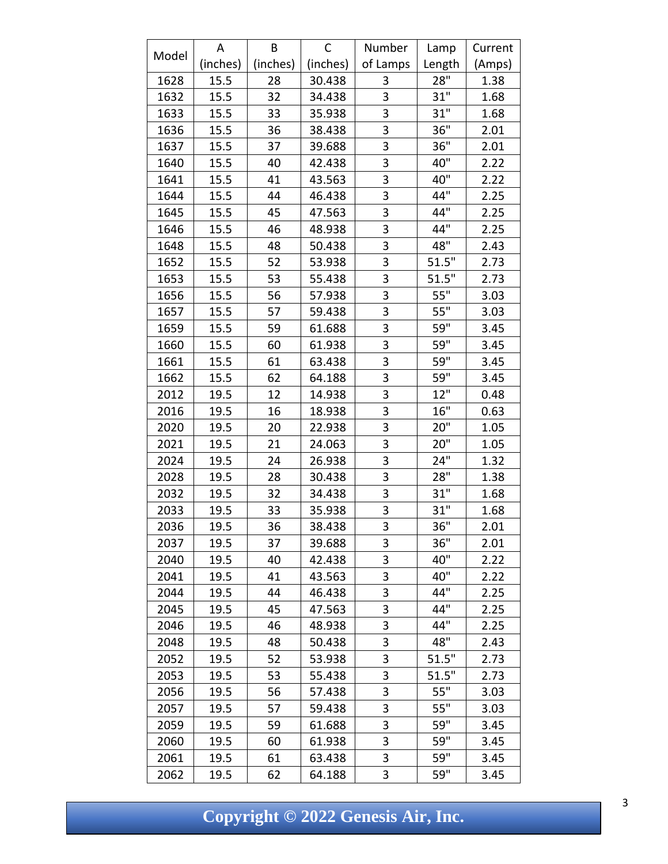|       | A        | B        | C        | Number   | Lamp   | Current |
|-------|----------|----------|----------|----------|--------|---------|
| Model | (inches) | (inches) | (inches) | of Lamps | Length | (Amps)  |
| 1628  | 15.5     | 28       | 30.438   | 3        | 28"    | 1.38    |
| 1632  | 15.5     | 32       | 34.438   | 3        | 31"    | 1.68    |
| 1633  | 15.5     | 33       | 35.938   | 3        | 31"    | 1.68    |
| 1636  | 15.5     | 36       | 38.438   | 3        | 36"    | 2.01    |
| 1637  | 15.5     | 37       | 39.688   | 3        | 36"    | 2.01    |
| 1640  | 15.5     | 40       | 42.438   | 3        | 40"    | 2.22    |
| 1641  | 15.5     | 41       | 43.563   | 3        | 40"    | 2.22    |
| 1644  | 15.5     | 44       | 46.438   | 3        | 44"    | 2.25    |
| 1645  | 15.5     | 45       | 47.563   | 3        | 44"    | 2.25    |
| 1646  | 15.5     | 46       | 48.938   | 3        | 44"    | 2.25    |
| 1648  | 15.5     | 48       | 50.438   | 3        | 48"    | 2.43    |
| 1652  | 15.5     | 52       | 53.938   | 3        | 51.5"  | 2.73    |
| 1653  | 15.5     | 53       | 55.438   | 3        | 51.5"  | 2.73    |
| 1656  | 15.5     | 56       | 57.938   | 3        | 55"    | 3.03    |
| 1657  | 15.5     | 57       | 59.438   | 3        | 55"    | 3.03    |
| 1659  | 15.5     | 59       | 61.688   | 3        | 59"    | 3.45    |
| 1660  | 15.5     | 60       | 61.938   | 3        | 59"    | 3.45    |
| 1661  | 15.5     | 61       | 63.438   | 3        | 59"    | 3.45    |
| 1662  | 15.5     | 62       | 64.188   | 3        | 59"    | 3.45    |
| 2012  | 19.5     | 12       | 14.938   | 3        | 12"    | 0.48    |
| 2016  | 19.5     | 16       | 18.938   | 3        | 16"    | 0.63    |
| 2020  | 19.5     | 20       | 22.938   | 3        | 20"    | 1.05    |
| 2021  | 19.5     | 21       | 24.063   | 3        | 20"    | 1.05    |
| 2024  | 19.5     | 24       | 26.938   | 3        | 24"    | 1.32    |
| 2028  | 19.5     | 28       | 30.438   | 3        | 28"    | 1.38    |
| 2032  | 19.5     | 32       | 34.438   | 3        | 31"    | 1.68    |
| 2033  | 19.5     | 33       | 35.938   | 3        | 31"    | 1.68    |
| 2036  | 19.5     | 36       | 38.438   | 3        | 36"    | 2.01    |
| 2037  | 19.5     | 37       | 39.688   | 3        | 36"    | 2.01    |
| 2040  | 19.5     | 40       | 42.438   | 3        | 40"    | 2.22    |
| 2041  | 19.5     | 41       | 43.563   | 3        | 40"    | 2.22    |
| 2044  | 19.5     | 44       | 46.438   | 3        | 44"    | 2.25    |
| 2045  | 19.5     | 45       | 47.563   | 3        | 44"    | 2.25    |
| 2046  | 19.5     | 46       | 48.938   | 3        | 44"    | 2.25    |
| 2048  | 19.5     | 48       | 50.438   | 3        | 48"    | 2.43    |
| 2052  | 19.5     | 52       | 53.938   | 3        | 51.5"  | 2.73    |
| 2053  | 19.5     | 53       | 55.438   | 3        | 51.5"  | 2.73    |
| 2056  | 19.5     | 56       | 57.438   | 3        | 55"    | 3.03    |
| 2057  | 19.5     | 57       | 59.438   | 3        | 55"    | 3.03    |
| 2059  | 19.5     | 59       | 61.688   | 3        | 59"    | 3.45    |
| 2060  | 19.5     | 60       | 61.938   | 3        | 59"    | 3.45    |
| 2061  | 19.5     | 61       | 63.438   | 3        | 59"    | 3.45    |
| 2062  | 19.5     | 62       | 64.188   | 3        | 59"    | 3.45    |

**Copyright © 2022 Genesis Air, Inc.**